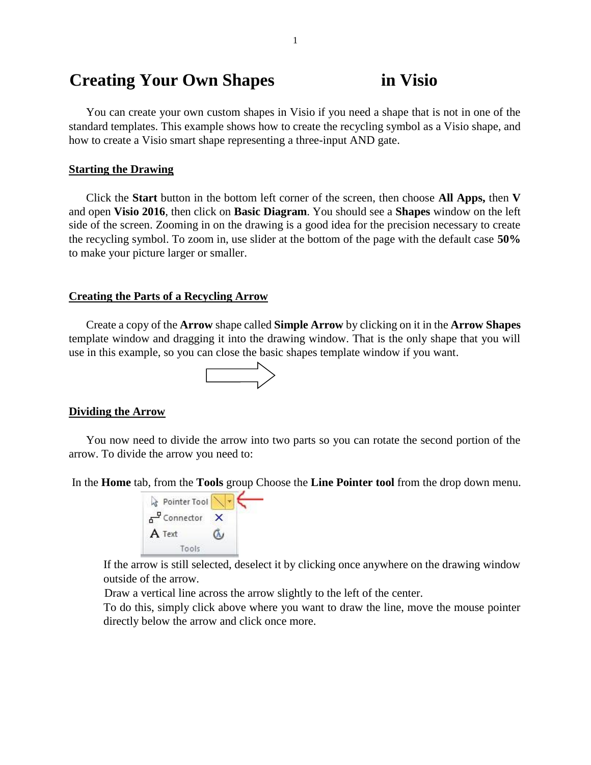# **Creating Your Own Shapes in Visio**

You can create your own custom shapes in Visio if you need a shape that is not in one of the standard templates. This example shows how to create the recycling symbol as a Visio shape, and how to create a Visio smart shape representing a three-input AND gate.

### **Starting the Drawing**

Click the **Start** button in the bottom left corner of the screen, then choose **All Apps,** then **V** and open **Visio 2016**, then click on **Basic Diagram**. You should see a **Shapes** window on the left side of the screen. Zooming in on the drawing is a good idea for the precision necessary to create the recycling symbol. To zoom in, use slider at the bottom of the page with the default case **50%** to make your picture larger or smaller.

#### **Creating the Parts of a Recycling Arrow**

Create a copy of the **Arrow** shape called **Simple Arrow** by clicking on it in the **Arrow Shapes** template window and dragging it into the drawing window. That is the only shape that you will use in this example, so you can close the basic shapes template window if you want.



#### **Dividing the Arrow**

You now need to divide the arrow into two parts so you can rotate the second portion of the arrow. To divide the arrow you need to:

In the **Home** tab, from the **Tools** group Choose the **Line Pointer tool** from the drop down menu.



If the arrow is still selected, deselect it by clicking once anywhere on the drawing window outside of the arrow.

Draw a vertical line across the arrow slightly to the left of the center.

To do this, simply click above where you want to draw the line, move the mouse pointer directly below the arrow and click once more.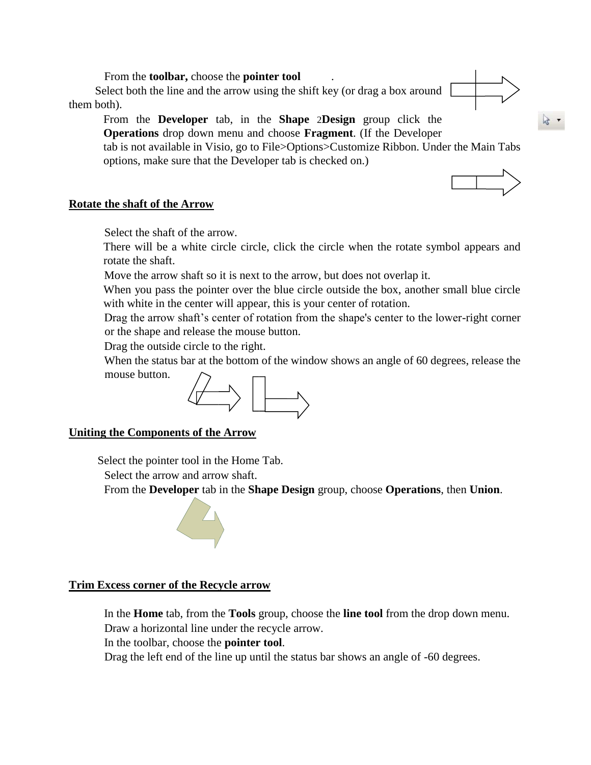From the **toolbar,** choose the **pointer tool** .

Select both the line and the arrow using the shift key (or drag a box around them both).

From the **Developer** tab, in the **Shape** 2**Design** group click the **Operations** drop down menu and choose **Fragment**. (If the Developer

tab is not available in Visio, go to File>Options>Customize Ribbon. Under the Main Tabs options, make sure that the Developer tab is checked on.)



## **Rotate the shaft of the Arrow**

Select the shaft of the arrow.

There will be a white circle circle, click the circle when the rotate symbol appears and rotate the shaft.

Move the arrow shaft so it is next to the arrow, but does not overlap it.

When you pass the pointer over the blue circle outside the box, another small blue circle with white in the center will appear, this is your center of rotation.

Drag the arrow shaft's center of rotation from the shape's center to the lower-right corner or the shape and release the mouse button.

Drag the outside circle to the right.

When the status bar at the bottom of the window shows an angle of 60 degrees, release the mouse button.



# **Uniting the Components of the Arrow**

Select the pointer tool in the Home Tab.

Select the arrow and arrow shaft.

From the **Developer** tab in the **Shape Design** group, choose **Operations**, then **Union**.



## **Trim Excess corner of the Recycle arrow**

In the **Home** tab, from the **Tools** group, choose the **line tool** from the drop down menu. Draw a horizontal line under the recycle arrow.

In the toolbar, choose the **pointer tool**.

Drag the left end of the line up until the status bar shows an angle of -60 degrees.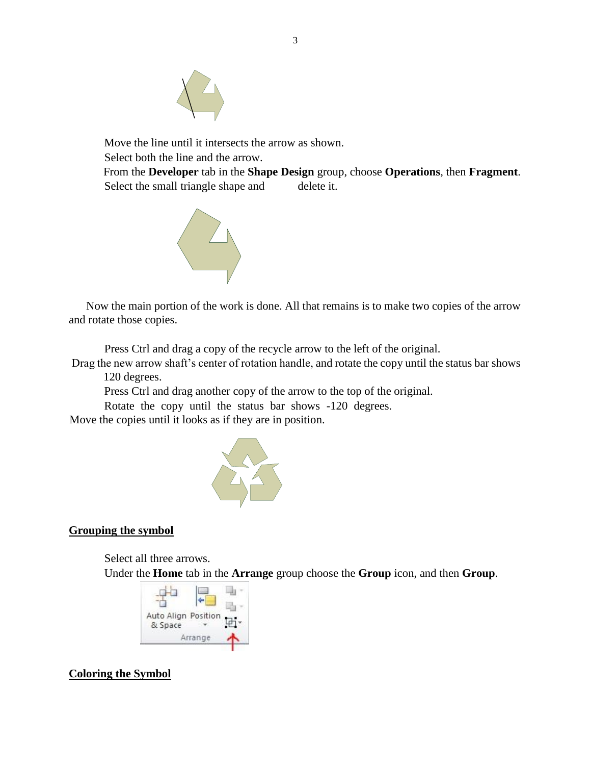

Move the line until it intersects the arrow as shown. Select both the line and the arrow.

From the **Developer** tab in the **Shape Design** group, choose **Operations**, then **Fragment**. Select the small triangle shape and delete it.



Now the main portion of the work is done. All that remains is to make two copies of the arrow and rotate those copies.

Press Ctrl and drag a copy of the recycle arrow to the left of the original.

Drag the new arrow shaft's center of rotation handle, and rotate the copy until the status bar shows 120 degrees.

Press Ctrl and drag another copy of the arrow to the top of the original.

Rotate the copy until the status bar shows -120 degrees.

Move the copies until it looks as if they are in position.



# **Grouping the symbol**

Select all three arrows.

Under the **Home** tab in the **Arrange** group choose the **Group** icon, and then **Group**.



# **Coloring the Symbol**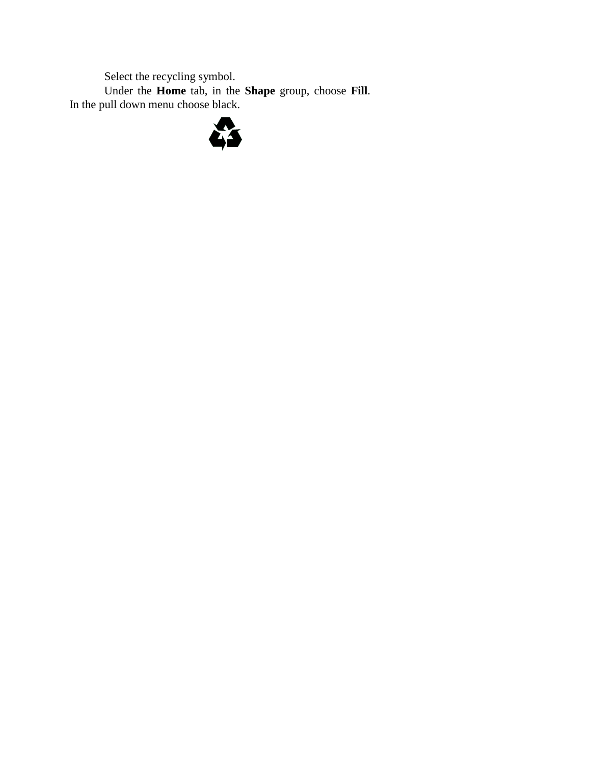Select the recycling symbol.

Under the **Home** tab, in the **Shape** group, choose **Fill**. In the pull down menu choose black.

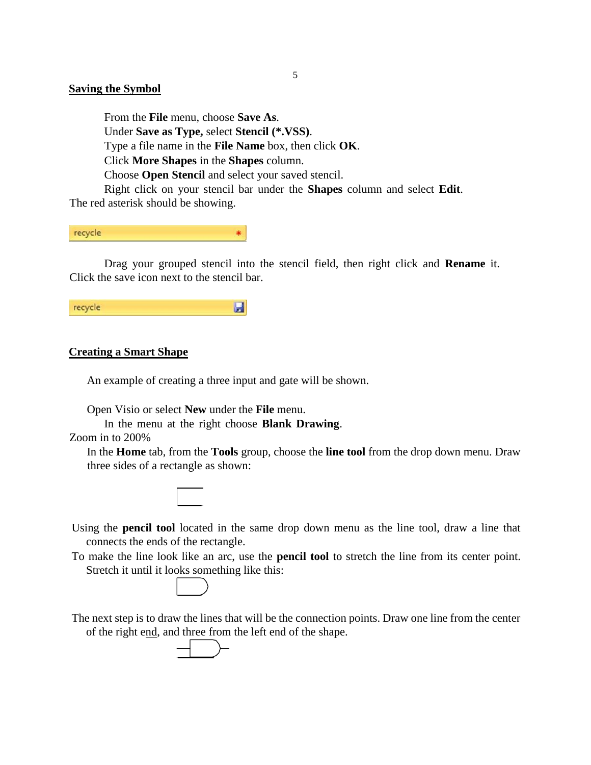## **Saving the Symbol**

From the **File** menu, choose **Save As**. Under **Save as Type,** select **Stencil (\*.VSS)**. Type a file name in the **File Name** box, then click **OK**. Click **More Shapes** in the **Shapes** column. Choose **Open Stencil** and select your saved stencil. Right click on your stencil bar under the **Shapes** column and select **Edit**.

The red asterisk should be showing.

recycle  $\ast$ 

Drag your grouped stencil into the stencil field, then right click and **Rename** it. Click the save icon next to the stencil bar.

 $\blacksquare$ recycle

### **Creating a Smart Shape**

An example of creating a three input and gate will be shown.

Open Visio or select **New** under the **File** menu.

In the menu at the right choose **Blank Drawing**.

Zoom in to 200%

In the **Home** tab, from the **Tools** group, choose the **line tool** from the drop down menu. Draw three sides of a rectangle as shown:



- Using the **pencil tool** located in the same drop down menu as the line tool, draw a line that connects the ends of the rectangle.
- To make the line look like an arc, use the **pencil tool** to stretch the line from its center point. Stretch it until it looks something like this:



The next step is to draw the lines that will be the connection points. Draw one line from the center of the right end, and three from the left end of the shape.